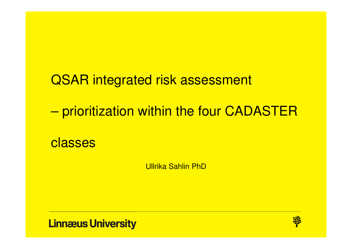QSAR integrated risk assessment – prioritization within the four CADASTER classes

Ullrika Sahlin PhD

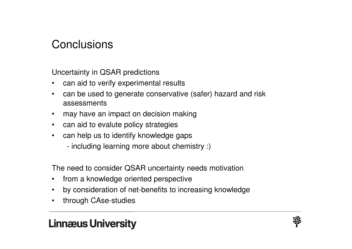## **Conclusions**

Uncertainty in QSAR predictions

- $\bullet$ can aid to verify experimental results
- • can be used to generate conservative (safer) hazard and risk assessments
- may have an impact on decision making
- can aid to evalute policy strategies
- $\bullet$  can help us to identify knowledge gaps
	- including learning more about chemistry :)

The need to consider QSAR uncertainty needs motivation

- $\bullet$ from a knowledge oriented perspective
- $\bullet$ by consideration of net-benefits to increasing knowledge
- •through CAse-studies

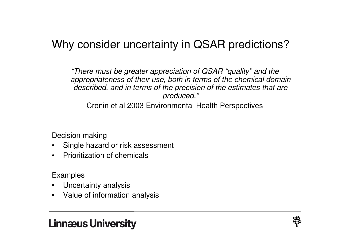# Why consider uncertainty in QSAR predictions?

"There must be greater appreciation of QSAR "quality" and the appropriateness of their use, both in terms of the chemical domain described, and in terms of the precision of the estimates that are produced."

Cronin et al 2003 Environmental Health Perspectives

Decision making

- Single hazard or risk assessment •
- Prioritization of chemicals

Examples

- •Uncertainty analysis
- Value of information analysis

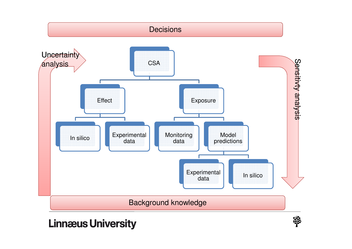

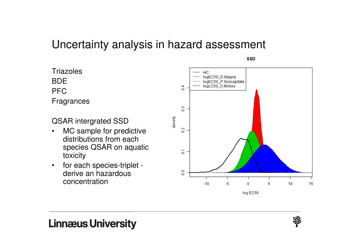## Uncertainty analysis in hazard assessment

**SSD** 

**Triazoles** BDE PFCFragrances

QSAR intergrated SSD

- MC sample for predictive $\bullet$ distributions from each species QSAR on aquatictoxicity
- for each species-triplet -•derive an hazardousconcentration



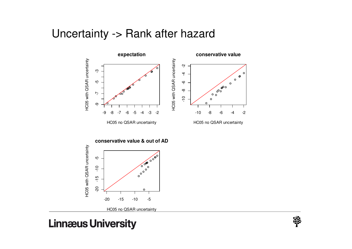### Uncertainty -> Rank after hazard





HC05 no QSAR uncertainty

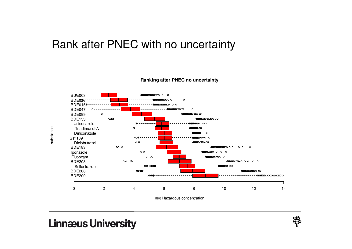## Rank after PNEC with no uncertainty



#### **Ranking after PNEC no uncertainty**

neg Hazardous concentration

#### **Linnæus University**

substance

substance

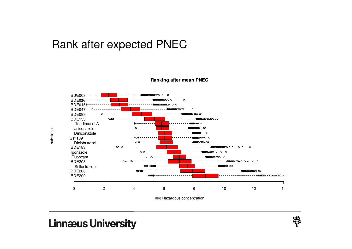## Rank after expected PNEC



#### **Ranking after mean PNEC**

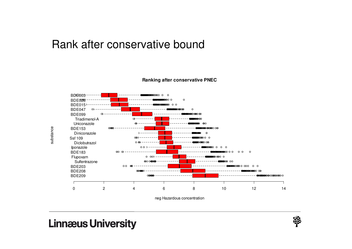#### Rank after conservative bound



#### **Ranking after conservative PNEC**

### **Linnæus University**

substance

substance

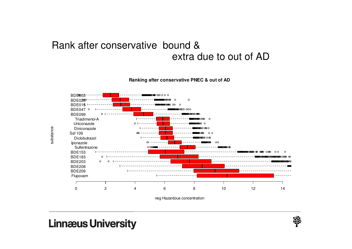#### Rank after conservative bound & extra due to out of AD

**Ranking after conservative PNEC & out of AD**



neg Hazardous concentration

### **Linnæus University**

substance

substance

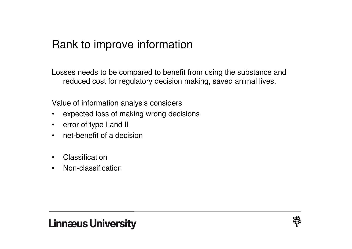## Rank to improve information

Losses needs to be compared to benefit from using the substance and reduced cost for regulatory decision making, saved animal lives.

Value of information analysis considers

- $\bullet$ expected loss of making wrong decisions
- error of type I and II
- net-benefit of a decision
- •**Classification**
- Non-classification



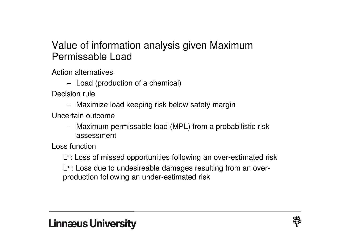### Value of information analysis given Maximum Permissable Load

Action alternatives

– Load (production of a chemical)

Decision rule

– Maximize load keeping risk below safety margin

Uncertain outcome

– Maximum permissable load (MPL) from a probabilistic risk assessment

Loss function

L**-** : Loss of missed opportunities following an over-estimated risk

L**+** : Loss due to undesireable damages resulting from an overproduction following an under-estimated risk

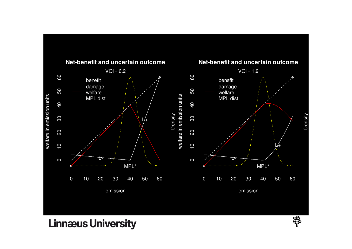

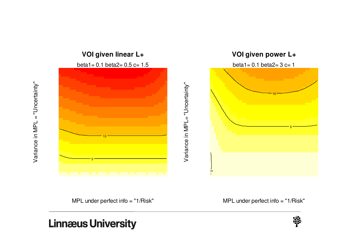



MPL under perfect info = "1/Risk"

MPL under perfect info = "1/Risk"

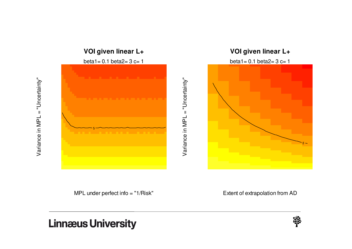

Variance in MPL = "Uncertainty"

Variance in MPL = "Uncertainty"



Variance in MPL = "Uncertainty" Variance in MPL = "Uncertainty"



beta1=  $0.1$  beta2=  $3$  c= 1



MPL under perfect info = "1/Risk"

Extent of extrapolation from AD

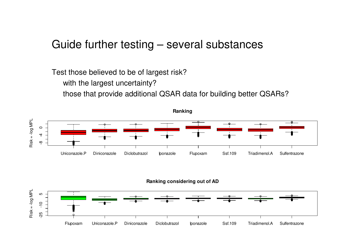#### Guide further testing – several substances

Test those believed to be of largest risk?

with the largest uncertainty?

those that provide additional QSAR data for building better QSARs?





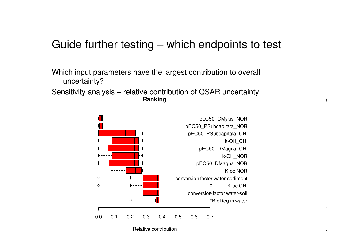## Guide further testing – which endpoints to test

Which input parameters have the largest contribution to overall uncertainty?

Sensitivity analysis – relative contribution of QSAR uncertainty**Ranking**



Relative contribution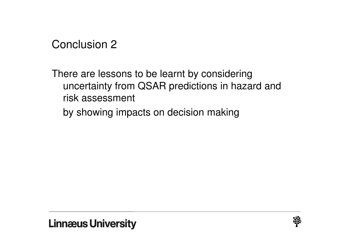Conclusion <sup>2</sup>

There are lessons to be learnt by considering uncertainty from QSAR predictions in hazard and risk assessment

by showing impacts on decision making